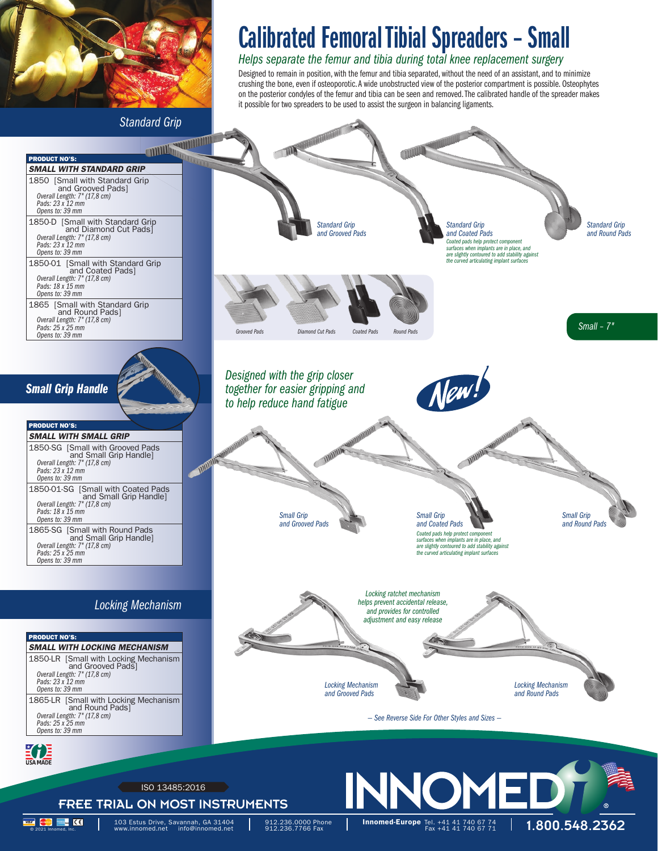

*Standard Grip*

# Calibrated Femoral Tibial Spreaders – Small

## *Helps separate the femur and tibia during total knee replacement surgery*

Designed to remain in position, with the femur and tibia separated, without the need of an assistant, and to minimize crushing the bone, even if osteoporotic. A wide unobstructed view of the posterior compartment is possible. Osteophytes on the posterior condyles of the femur and tibia can be seen and removed. The calibrated handle of the spreader makes it possible for two spreaders to be used to assist the surgeon in balancing ligaments.